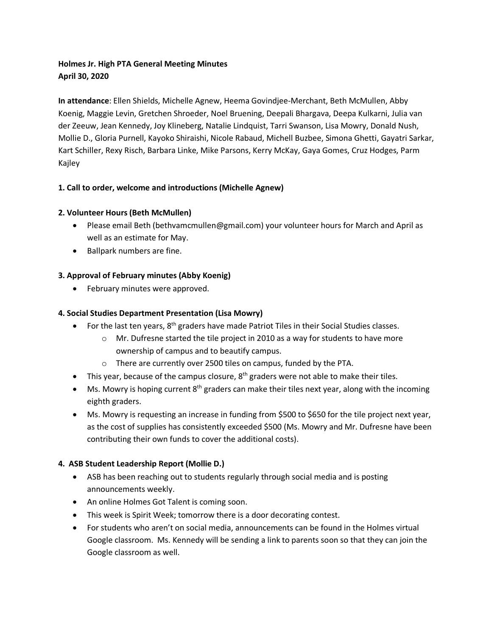# **Holmes Jr. High PTA General Meeting Minutes April 30, 2020**

**In attendance**: Ellen Shields, Michelle Agnew, Heema Govindjee-Merchant, Beth McMullen, Abby Koenig, Maggie Levin, Gretchen Shroeder, Noel Bruening, Deepali Bhargava, Deepa Kulkarni, Julia van der Zeeuw, Jean Kennedy, Joy Klineberg, Natalie Lindquist, Tarri Swanson, Lisa Mowry, Donald Nush, Mollie D., Gloria Purnell, Kayoko Shiraishi, Nicole Rabaud, Michell Buzbee, Simona Ghetti, Gayatri Sarkar, Kart Schiller, Rexy Risch, Barbara Linke, Mike Parsons, Kerry McKay, Gaya Gomes, Cruz Hodges, Parm Kajley

# **1. Call to order, welcome and introductions (Michelle Agnew)**

# **2. Volunteer Hours (Beth McMullen)**

- Please email Beth (bethvamcmullen@gmail.com) your volunteer hours for March and April as well as an estimate for May.
- Ballpark numbers are fine.

# **3. Approval of February minutes (Abby Koenig)**

• February minutes were approved.

## **4. Social Studies Department Presentation (Lisa Mowry)**

- For the last ten years, 8<sup>th</sup> graders have made Patriot Tiles in their Social Studies classes.
	- $\circ$  Mr. Dufresne started the tile project in 2010 as a way for students to have more ownership of campus and to beautify campus.
	- o There are currently over 2500 tiles on campus, funded by the PTA.
- This year, because of the campus closure,  $8<sup>th</sup>$  graders were not able to make their tiles.
- Ms. Mowry is hoping current  $8<sup>th</sup>$  graders can make their tiles next year, along with the incoming eighth graders.
- Ms. Mowry is requesting an increase in funding from \$500 to \$650 for the tile project next year, as the cost of supplies has consistently exceeded \$500 (Ms. Mowry and Mr. Dufresne have been contributing their own funds to cover the additional costs).

## **4. ASB Student Leadership Report (Mollie D.)**

- ASB has been reaching out to students regularly through social media and is posting announcements weekly.
- An online Holmes Got Talent is coming soon.
- This week is Spirit Week; tomorrow there is a door decorating contest.
- For students who aren't on social media, announcements can be found in the Holmes virtual Google classroom. Ms. Kennedy will be sending a link to parents soon so that they can join the Google classroom as well.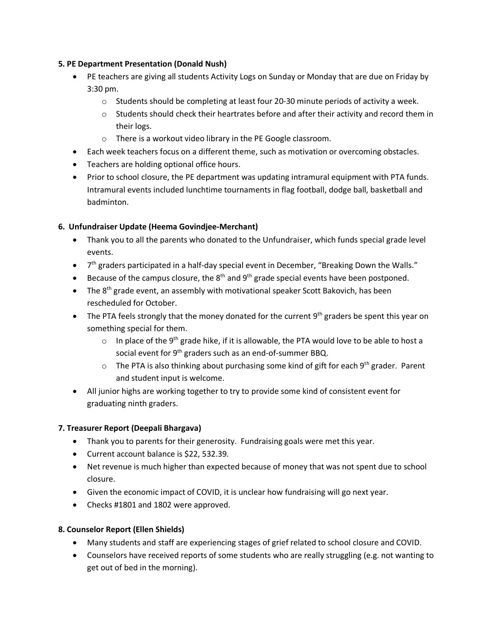#### **5. PE Department Presentation (Donald Nush)**

- PE teachers are giving all students Activity Logs on Sunday or Monday that are due on Friday by 3:30 pm.
	- $\circ$  Students should be completing at least four 20-30 minute periods of activity a week.
	- $\circ$  Students should check their heartrates before and after their activity and record them in their logs.
	- o There is a workout video library in the PE Google classroom.
- Each week teachers focus on a different theme, such as motivation or overcoming obstacles.
- Teachers are holding optional office hours.
- Prior to school closure, the PE department was updating intramural equipment with PTA funds. Intramural events included lunchtime tournaments in flag football, dodge ball, basketball and badminton.

#### **6. Unfundraiser Update (Heema Govindjee-Merchant)**

- Thank you to all the parents who donated to the Unfundraiser, which funds special grade level events.
- $\bullet$   $7<sup>th</sup>$  graders participated in a half-day special event in December, "Breaking Down the Walls."
- **•** Because of the campus closure, the  $8<sup>th</sup>$  and  $9<sup>th</sup>$  grade special events have been postponed.
- The  $8<sup>th</sup>$  grade event, an assembly with motivational speaker Scott Bakovich, has been rescheduled for October.
- The PTA feels strongly that the money donated for the current  $9<sup>th</sup>$  graders be spent this year on something special for them.
	- $\circ$  In place of the 9<sup>th</sup> grade hike, if it is allowable, the PTA would love to be able to host a social event for 9<sup>th</sup> graders such as an end-of-summer BBQ.
	- $\circ$  The PTA is also thinking about purchasing some kind of gift for each 9<sup>th</sup> grader. Parent and student input is welcome.
- All junior highs are working together to try to provide some kind of consistent event for graduating ninth graders.

## **7. Treasurer Report (Deepali Bhargava)**

- Thank you to parents for their generosity. Fundraising goals were met this year.
- Current account balance is \$22, 532.39.
- Net revenue is much higher than expected because of money that was not spent due to school closure.
- Given the economic impact of COVID, it is unclear how fundraising will go next year.
- Checks #1801 and 1802 were approved.

## **8. Counselor Report (Ellen Shields)**

- Many students and staff are experiencing stages of grief related to school closure and COVID.
- Counselors have received reports of some students who are really struggling (e.g. not wanting to get out of bed in the morning).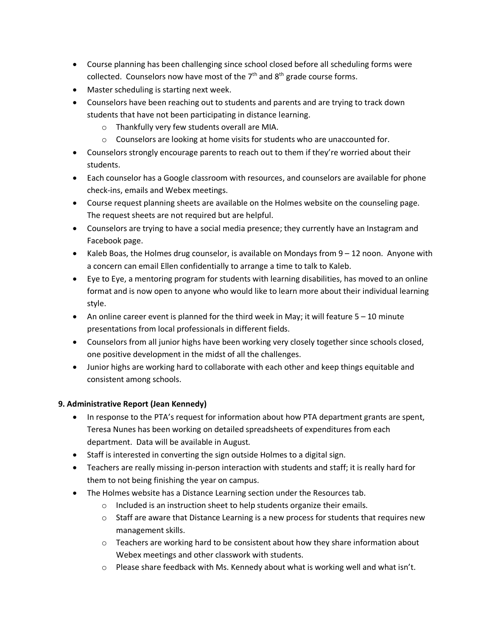- Course planning has been challenging since school closed before all scheduling forms were collected. Counselors now have most of the  $7<sup>th</sup>$  and  $8<sup>th</sup>$  grade course forms.
- Master scheduling is starting next week.
- Counselors have been reaching out to students and parents and are trying to track down students that have not been participating in distance learning.
	- o Thankfully very few students overall are MIA.
	- o Counselors are looking at home visits for students who are unaccounted for.
- Counselors strongly encourage parents to reach out to them if they're worried about their students.
- Each counselor has a Google classroom with resources, and counselors are available for phone check-ins, emails and Webex meetings.
- Course request planning sheets are available on the Holmes website on the counseling page. The request sheets are not required but are helpful.
- Counselors are trying to have a social media presence; they currently have an Instagram and Facebook page.
- Kaleb Boas, the Holmes drug counselor, is available on Mondays from 9 12 noon. Anyone with a concern can email Ellen confidentially to arrange a time to talk to Kaleb.
- Eye to Eye, a mentoring program for students with learning disabilities, has moved to an online format and is now open to anyone who would like to learn more about their individual learning style.
- An online career event is planned for the third week in May; it will feature 5 10 minute presentations from local professionals in different fields.
- Counselors from all junior highs have been working very closely together since schools closed, one positive development in the midst of all the challenges.
- Junior highs are working hard to collaborate with each other and keep things equitable and consistent among schools.

## **9. Administrative Report (Jean Kennedy)**

- In response to the PTA's request for information about how PTA department grants are spent, Teresa Nunes has been working on detailed spreadsheets of expenditures from each department. Data will be available in August.
- Staff is interested in converting the sign outside Holmes to a digital sign.
- Teachers are really missing in-person interaction with students and staff; it is really hard for them to not being finishing the year on campus.
- The Holmes website has a Distance Learning section under the Resources tab.
	- o Included is an instruction sheet to help students organize their emails.
	- $\circ$  Staff are aware that Distance Learning is a new process for students that requires new management skills.
	- $\circ$  Teachers are working hard to be consistent about how they share information about Webex meetings and other classwork with students.
	- o Please share feedback with Ms. Kennedy about what is working well and what isn't.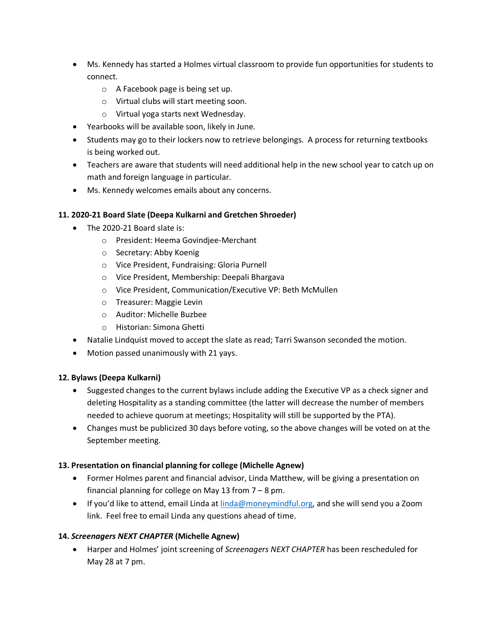- Ms. Kennedy has started a Holmes virtual classroom to provide fun opportunities for students to connect.
	- o A Facebook page is being set up.
	- o Virtual clubs will start meeting soon.
	- o Virtual yoga starts next Wednesday.
- Yearbooks will be available soon, likely in June.
- Students may go to their lockers now to retrieve belongings. A process for returning textbooks is being worked out.
- Teachers are aware that students will need additional help in the new school year to catch up on math and foreign language in particular.
- Ms. Kennedy welcomes emails about any concerns.

## **11. 2020-21 Board Slate (Deepa Kulkarni and Gretchen Shroeder)**

- The 2020-21 Board slate is:
	- o President: Heema Govindjee-Merchant
	- o Secretary: Abby Koenig
	- o Vice President, Fundraising: Gloria Purnell
	- o Vice President, Membership: Deepali Bhargava
	- o Vice President, Communication/Executive VP: Beth McMullen
	- o Treasurer: Maggie Levin
	- o Auditor: Michelle Buzbee
	- o Historian: Simona Ghetti
- Natalie Lindquist moved to accept the slate as read; Tarri Swanson seconded the motion.
- Motion passed unanimously with 21 yays.

## **12. Bylaws (Deepa Kulkarni)**

- Suggested changes to the current bylaws include adding the Executive VP as a check signer and deleting Hospitality as a standing committee (the latter will decrease the number of members needed to achieve quorum at meetings; Hospitality will still be supported by the PTA).
- Changes must be publicized 30 days before voting, so the above changes will be voted on at the September meeting.

## **13. Presentation on financial planning for college (Michelle Agnew)**

- Former Holmes parent and financial advisor, Linda Matthew, will be giving a presentation on financial planning for college on May 13 from 7 – 8 pm.
- If you'd like to attend, email Linda at linda@moneymindful.org, and she will send you a Zoom link. Feel free to email Linda any questions ahead of time.

## **14.** *Screenagers NEXT CHAPTER* **(Michelle Agnew)**

• Harper and Holmes' joint screening of *Screenagers NEXT CHAPTER* has been rescheduled for May 28 at 7 pm.